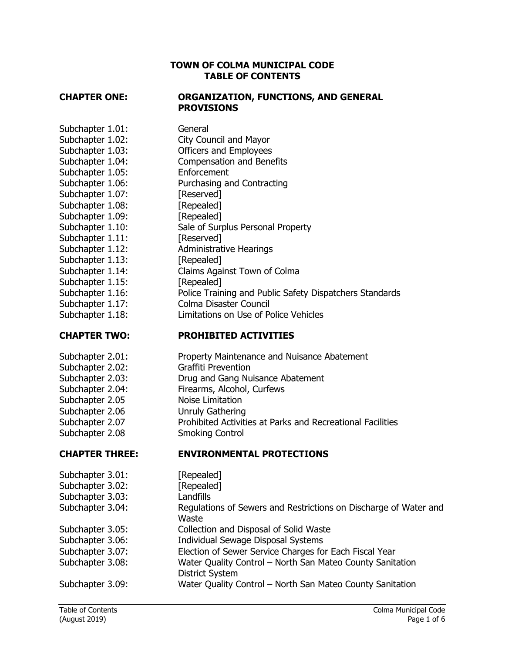### **TOWN OF COLMA MUNICIPAL CODE TABLE OF CONTENTS**

### **CHAPTER ONE: ORGANIZATION, FUNCTIONS, AND GENERAL PROVISIONS**

Subchapter 1.01: General Subchapter 1.02: City Council and Mayor Subchapter 1.03: Officers and Employees Subchapter 1.04: Compensation and Benefits Subchapter 1.05: Enforcement Subchapter 1.06: Purchasing and Contracting Subchapter 1.07: [Reserved] Subchapter 1.08: [Repealed] Subchapter 1.09: [Repealed] Subchapter 1.10: Sale of Surplus Personal Property Subchapter 1.11: [Reserved] Subchapter 1.12: Administrative Hearings Subchapter 1.13: [Repealed] Subchapter 1.14: Claims Against Town of Colma Subchapter 1.15: [Repealed] Subchapter 1.16: Police Training and Public Safety Dispatchers Standards Subchapter 1.17: Colma Disaster Council Subchapter 1.18: Limitations on Use of Police Vehicles

- **CHAPTER TWO: PROHIBITED ACTIVITIES**
- Subchapter 2.01: Property Maintenance and Nuisance Abatement Subchapter 2.02: Graffiti Prevention Subchapter 2.03: Drug and Gang Nuisance Abatement Subchapter 2.04: Firearms, Alcohol, Curfews Subchapter 2.05 Noise Limitation Subchapter 2.06 Unruly Gathering Subchapter 2.07 **Prohibited Activities at Parks and Recreational Facilities** Subchapter 2.08 Smoking Control

### **CHAPTER THREE: ENVIRONMENTAL PROTECTIONS**

| Subchapter 3.01: | [Repealed]                                                                          |
|------------------|-------------------------------------------------------------------------------------|
| Subchapter 3.02: | [Repealed]                                                                          |
| Subchapter 3.03: | Landfills                                                                           |
| Subchapter 3.04: | Regulations of Sewers and Restrictions on Discharge of Water and<br>Waste           |
| Subchapter 3.05: | Collection and Disposal of Solid Waste                                              |
| Subchapter 3.06: | Individual Sewage Disposal Systems                                                  |
| Subchapter 3.07: | Election of Sewer Service Charges for Each Fiscal Year                              |
| Subchapter 3.08: | Water Quality Control - North San Mateo County Sanitation<br><b>District System</b> |
| Subchapter 3.09: | Water Quality Control - North San Mateo County Sanitation                           |
|                  |                                                                                     |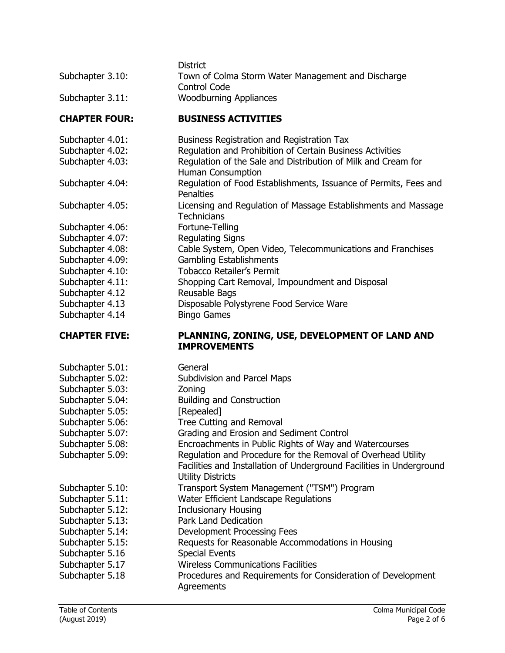| Subchapter 3.10:     | <b>District</b><br>Town of Colma Storm Water Management and Discharge<br><b>Control Code</b> |
|----------------------|----------------------------------------------------------------------------------------------|
| Subchapter 3.11:     | <b>Woodburning Appliances</b>                                                                |
| <b>CHAPTER FOUR:</b> | <b>BUSINESS ACTIVITIES</b>                                                                   |
| Subchapter 4.01:     | Business Registration and Registration Tax                                                   |
| Subchapter 4.02:     | Regulation and Prohibition of Certain Business Activities                                    |
| Subchapter 4.03:     | Regulation of the Sale and Distribution of Milk and Cream for<br><b>Human Consumption</b>    |
| Subchapter 4.04:     | Regulation of Food Establishments, Issuance of Permits, Fees and<br>Penalties                |
| Subchapter 4.05:     | Licensing and Regulation of Massage Establishments and Massage<br><b>Technicians</b>         |
| Subchapter 4.06:     | Fortune-Telling                                                                              |
| Subchapter 4.07:     | <b>Regulating Signs</b>                                                                      |
| Subchapter 4.08:     | Cable System, Open Video, Telecommunications and Franchises                                  |
| Subchapter 4.09:     | <b>Gambling Establishments</b>                                                               |
| Subchapter 4.10:     | <b>Tobacco Retailer's Permit</b>                                                             |
| Subchapter 4.11:     | Shopping Cart Removal, Impoundment and Disposal                                              |
| Subchapter 4.12      | Reusable Bags                                                                                |
| Subchapter 4.13      | Disposable Polystyrene Food Service Ware                                                     |
| Subchapter 4.14      | <b>Bingo Games</b>                                                                           |
| <b>CHAPTER FIVE:</b> | PLANNING, ZONING, USE, DEVELOPMENT OF LAND AND<br><b>IMPROVEMENTS</b>                        |
| Subchapter 5.01:     | General                                                                                      |

| Subchapter 5.01: | General                                                                    |
|------------------|----------------------------------------------------------------------------|
| Subchapter 5.02: | Subdivision and Parcel Maps                                                |
| Subchapter 5.03: | Zoning                                                                     |
| Subchapter 5.04: | <b>Building and Construction</b>                                           |
| Subchapter 5.05: | [Repealed]                                                                 |
| Subchapter 5.06: | Tree Cutting and Removal                                                   |
| Subchapter 5.07: | Grading and Erosion and Sediment Control                                   |
| Subchapter 5.08: | Encroachments in Public Rights of Way and Watercourses                     |
| Subchapter 5.09: | Regulation and Procedure for the Removal of Overhead Utility               |
|                  | Facilities and Installation of Underground Facilities in Underground       |
|                  | <b>Utility Districts</b>                                                   |
| Subchapter 5.10: | Transport System Management ("TSM") Program                                |
| Subchapter 5.11: | Water Efficient Landscape Regulations                                      |
| Subchapter 5.12: | <b>Inclusionary Housing</b>                                                |
| Subchapter 5.13: | <b>Park Land Dedication</b>                                                |
| Subchapter 5.14: | Development Processing Fees                                                |
| Subchapter 5.15: | Requests for Reasonable Accommodations in Housing                          |
| Subchapter 5.16  | <b>Special Events</b>                                                      |
| Subchapter 5.17  | <b>Wireless Communications Facilities</b>                                  |
| Subchapter 5.18  | Procedures and Requirements for Consideration of Development<br>Agreements |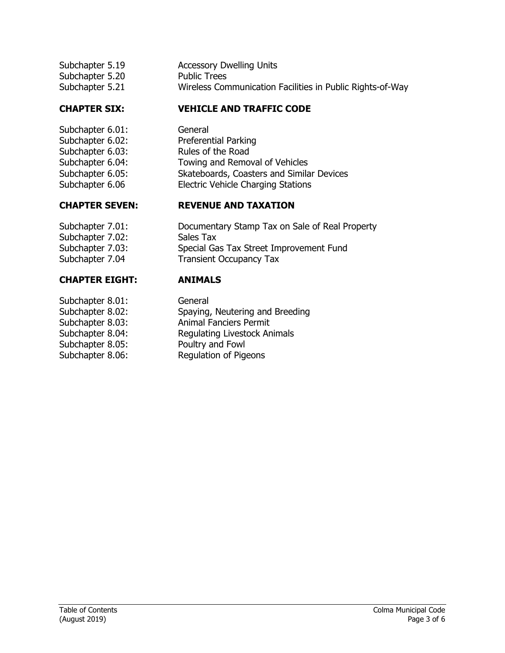| Subchapter 5.19 | <b>Accessory Dwelling Units</b>                           |
|-----------------|-----------------------------------------------------------|
| Subchapter 5.20 | <b>Public Trees</b>                                       |
| Subchapter 5.21 | Wireless Communication Facilities in Public Rights-of-Way |

## **CHAPTER SIX: VEHICLE AND TRAFFIC CODE**

Subchapter 6.01: General Subchapter 6.03: Rules of the Road

Subchapter 7.02: Sales Tax

# **CHAPTER EIGHT: ANIMALS**

Subchapter 8.01: General Subchapter 8.05: Poultry and Fowl

Subchapter 6.02: Preferential Parking Subchapter 6.04: Towing and Removal of Vehicles Subchapter 6.05: Skateboards, Coasters and Similar Devices Subchapter 6.06 Electric Vehicle Charging Stations

## **CHAPTER SEVEN: REVENUE AND TAXATION**

Subchapter 7.01: Documentary Stamp Tax on Sale of Real Property Subchapter 7.03: Special Gas Tax Street Improvement Fund Subchapter 7.04 Transient Occupancy Tax

Subchapter 8.02: Spaying, Neutering and Breeding Subchapter 8.03: Animal Fanciers Permit Subchapter 8.04: Regulating Livestock Animals Subchapter 8.06: Regulation of Pigeons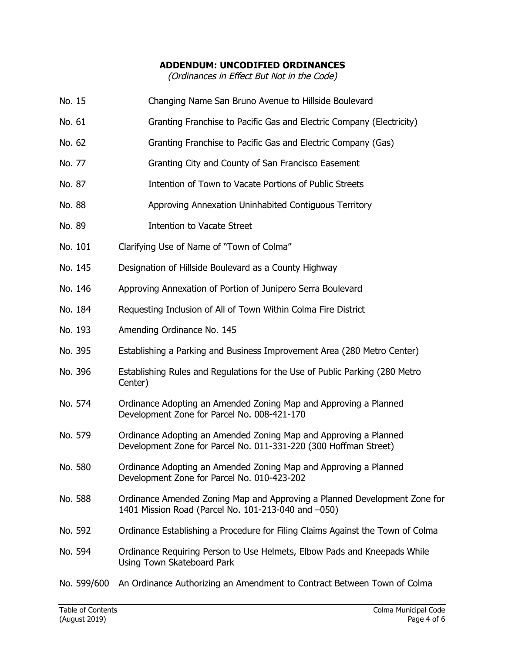### **ADDENDUM: UNCODIFIED ORDINANCES**

(Ordinances in Effect But Not in the Code)

No. 15 Changing Name San Bruno Avenue to Hillside Boulevard

| No. 61      | Granting Franchise to Pacific Gas and Electric Company (Electricity)                                                                 |
|-------------|--------------------------------------------------------------------------------------------------------------------------------------|
| No. 62      | Granting Franchise to Pacific Gas and Electric Company (Gas)                                                                         |
| No. 77      | Granting City and County of San Francisco Easement                                                                                   |
| No. 87      | Intention of Town to Vacate Portions of Public Streets                                                                               |
| No. 88      | Approving Annexation Uninhabited Contiguous Territory                                                                                |
| No. 89      | <b>Intention to Vacate Street</b>                                                                                                    |
| No. 101     | Clarifying Use of Name of "Town of Colma"                                                                                            |
| No. 145     | Designation of Hillside Boulevard as a County Highway                                                                                |
| No. 146     | Approving Annexation of Portion of Junipero Serra Boulevard                                                                          |
| No. 184     | Requesting Inclusion of All of Town Within Colma Fire District                                                                       |
| No. 193     | Amending Ordinance No. 145                                                                                                           |
| No. 395     | Establishing a Parking and Business Improvement Area (280 Metro Center)                                                              |
| No. 396     | Establishing Rules and Regulations for the Use of Public Parking (280 Metro<br>Center)                                               |
| No. 574     | Ordinance Adopting an Amended Zoning Map and Approving a Planned<br>Development Zone for Parcel No. 008-421-170                      |
| No. 579     | Ordinance Adopting an Amended Zoning Map and Approving a Planned<br>Development Zone for Parcel No. 011-331-220 (300 Hoffman Street) |
| No. 580     | Ordinance Adopting an Amended Zoning Map and Approving a Planned<br>Development Zone for Parcel No. 010-423-202                      |
| No. 588     | Ordinance Amended Zoning Map and Approving a Planned Development Zone for<br>1401 Mission Road (Parcel No. 101-213-040 and -050)     |
| No. 592     | Ordinance Establishing a Procedure for Filing Claims Against the Town of Colma                                                       |
| No. 594     | Ordinance Requiring Person to Use Helmets, Elbow Pads and Kneepads While<br><b>Using Town Skateboard Park</b>                        |
| No. 599/600 | An Ordinance Authorizing an Amendment to Contract Between Town of Colma                                                              |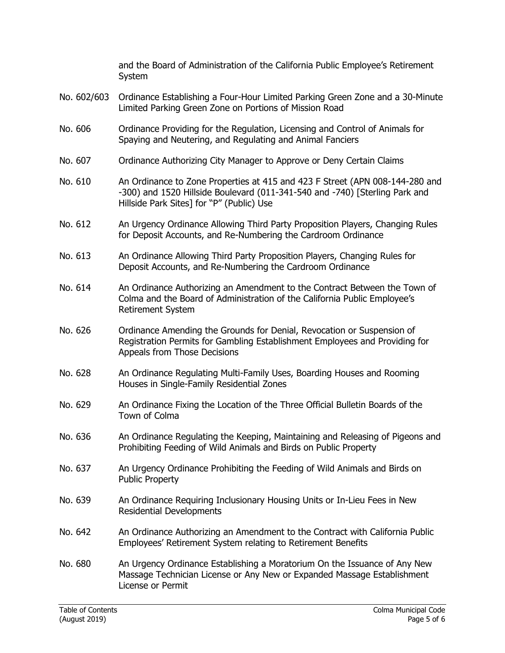|             | and the Board of Administration of the California Public Employee's Retirement<br>System                                                                                                                 |
|-------------|----------------------------------------------------------------------------------------------------------------------------------------------------------------------------------------------------------|
| No. 602/603 | Ordinance Establishing a Four-Hour Limited Parking Green Zone and a 30-Minute<br>Limited Parking Green Zone on Portions of Mission Road                                                                  |
| No. 606     | Ordinance Providing for the Regulation, Licensing and Control of Animals for<br>Spaying and Neutering, and Regulating and Animal Fanciers                                                                |
| No. 607     | Ordinance Authorizing City Manager to Approve or Deny Certain Claims                                                                                                                                     |
| No. 610     | An Ordinance to Zone Properties at 415 and 423 F Street (APN 008-144-280 and<br>-300) and 1520 Hillside Boulevard (011-341-540 and -740) [Sterling Park and<br>Hillside Park Sites] for "P" (Public) Use |
| No. 612     | An Urgency Ordinance Allowing Third Party Proposition Players, Changing Rules<br>for Deposit Accounts, and Re-Numbering the Cardroom Ordinance                                                           |
| No. 613     | An Ordinance Allowing Third Party Proposition Players, Changing Rules for<br>Deposit Accounts, and Re-Numbering the Cardroom Ordinance                                                                   |
| No. 614     | An Ordinance Authorizing an Amendment to the Contract Between the Town of<br>Colma and the Board of Administration of the California Public Employee's<br>Retirement System                              |
| No. 626     | Ordinance Amending the Grounds for Denial, Revocation or Suspension of<br>Registration Permits for Gambling Establishment Employees and Providing for<br>Appeals from Those Decisions                    |
| No. 628     | An Ordinance Regulating Multi-Family Uses, Boarding Houses and Rooming<br>Houses in Single-Family Residential Zones                                                                                      |
| No. 629     | An Ordinance Fixing the Location of the Three Official Bulletin Boards of the<br>Town of Colma                                                                                                           |
| No. 636     | An Ordinance Regulating the Keeping, Maintaining and Releasing of Pigeons and<br>Prohibiting Feeding of Wild Animals and Birds on Public Property                                                        |
| No. 637     | An Urgency Ordinance Prohibiting the Feeding of Wild Animals and Birds on<br><b>Public Property</b>                                                                                                      |
| No. 639     | An Ordinance Requiring Inclusionary Housing Units or In-Lieu Fees in New<br><b>Residential Developments</b>                                                                                              |
| No. 642     | An Ordinance Authorizing an Amendment to the Contract with California Public<br>Employees' Retirement System relating to Retirement Benefits                                                             |
| No. 680     | An Urgency Ordinance Establishing a Moratorium On the Issuance of Any New<br>Massage Technician License or Any New or Expanded Massage Establishment<br>License or Permit                                |